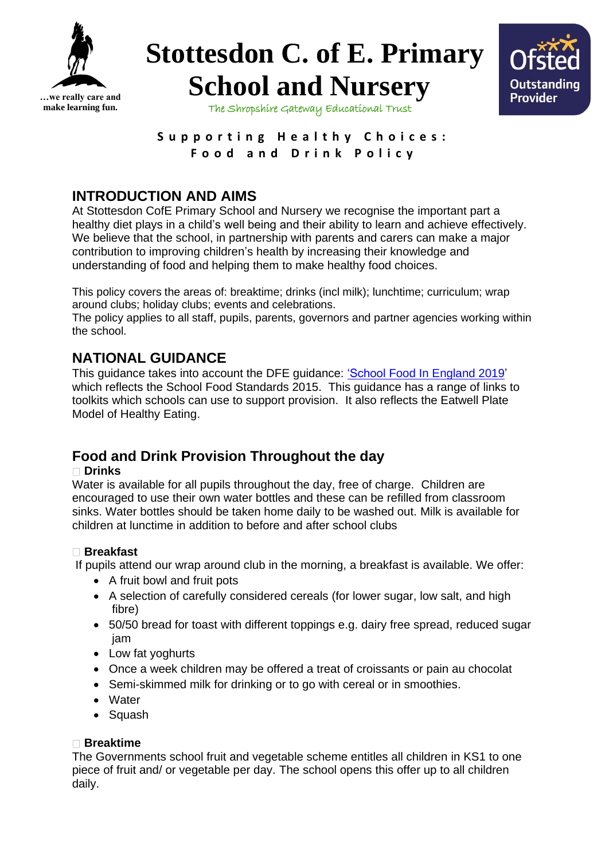





The Shropshire Gateway Educational Trust

Supporting **Healthy Choices**: **F o o d a n d D r i n k P o l i c y**

# **INTRODUCTION AND AIMS**

At Stottesdon CofE Primary School and Nursery we recognise the important part a healthy diet plays in a child's well being and their ability to learn and achieve effectively. We believe that the school, in partnership with parents and carers can make a major contribution to improving children's health by increasing their knowledge and understanding of food and helping them to make healthy food choices.

This policy covers the areas of: breaktime; drinks (incl milk); lunchtime; curriculum; wrap around clubs; holiday clubs; events and celebrations.

The policy applies to all staff, pupils, parents, governors and partner agencies working within the school.

# **NATIONAL GUIDANCE**

This guidance takes into account the DFE guidance: ['School Food In England 2019'](https://assets.publishing.service.gov.uk/government/uploads/system/uploads/attachment_data/file/788884/School-food-in-England-April2019-FINAL.pdf) which reflects the School Food Standards 2015. This guidance has a range of links to toolkits which schools can use to support provision. It also reflects the Eatwell Plate Model of Healthy Eating.

# **Food and Drink Provision Throughout the day**

#### **Drinks**

Water is available for all pupils throughout the day, free of charge. Children are encouraged to use their own water bottles and these can be refilled from classroom sinks. Water bottles should be taken home daily to be washed out. Milk is available for children at lunctime in addition to before and after school clubs

### **Breakfast**

If pupils attend our wrap around club in the morning, a breakfast is available. We offer:

- A fruit bowl and fruit pots
- A selection of carefully considered cereals (for lower sugar, low salt, and high fibre)
- 50/50 bread for toast with different toppings e.g. dairy free spread, reduced sugar jam
- Low fat yoghurts
- Once a week children may be offered a treat of croissants or pain au chocolat
- Semi-skimmed milk for drinking or to go with cereal or in smoothies.
- Water
- Squash

#### **Breaktime**

The Governments school fruit and vegetable scheme entitles all children in KS1 to one piece of fruit and/ or vegetable per day. The school opens this offer up to all children daily.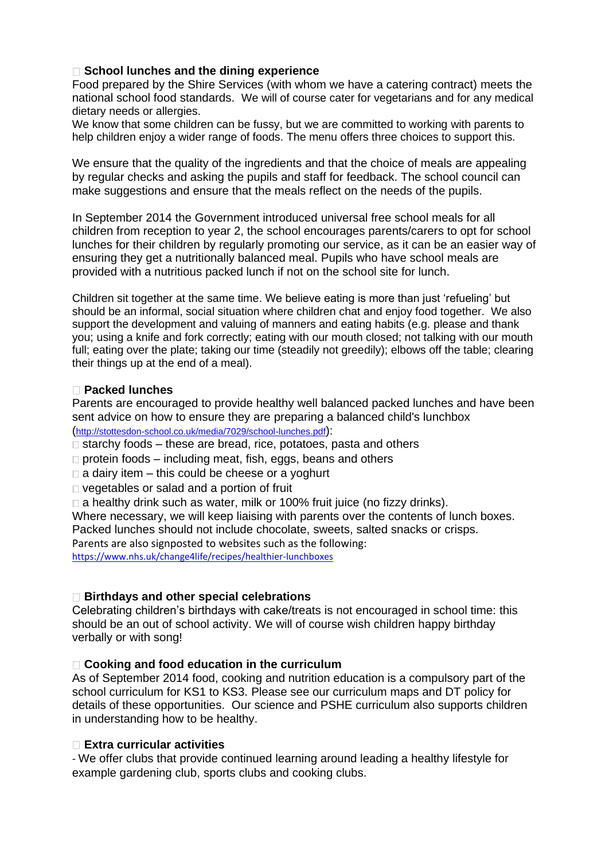#### **School lunches and the dining experience**

Food prepared by the Shire Services (with whom we have a catering contract) meets the national school food standards. We will of course cater for vegetarians and for any medical dietary needs or allergies.

We know that some children can be fussy, but we are committed to working with parents to help children enjoy a wider range of foods. The menu offers three choices to support this.

We ensure that the quality of the ingredients and that the choice of meals are appealing by regular checks and asking the pupils and staff for feedback. The school council can make suggestions and ensure that the meals reflect on the needs of the pupils.

In September 2014 the Government introduced universal free school meals for all children from reception to year 2, the school encourages parents/carers to opt for school lunches for their children by regularly promoting our service, as it can be an easier way of ensuring they get a nutritionally balanced meal. Pupils who have school meals are provided with a nutritious packed lunch if not on the school site for lunch.

Children sit together at the same time. We believe eating is more than just 'refueling' but should be an informal, social situation where children chat and enjoy food together. We also support the development and valuing of manners and eating habits (e.g. please and thank you; using a knife and fork correctly; eating with our mouth closed; not talking with our mouth full; eating over the plate; taking our time (steadily not greedily); elbows off the table; clearing their things up at the end of a meal).

#### **Packed lunches**

Parents are encouraged to provide healthy well balanced packed lunches and have been sent advice on how to ensure they are preparing a balanced child's lunchbox (<http://stottesdon-school.co.uk/media/7029/school-lunches.pdf>):

 $\Box$  starchy foods – these are bread, rice, potatoes, pasta and others

 $\Box$  protein foods – including meat, fish, eggs, beans and others

 $\Box$  a dairy item – this could be cheese or a yoghurt

□ vegetables or salad and a portion of fruit

□ a healthy drink such as water, milk or 100% fruit juice (no fizzy drinks).

Where necessary, we will keep liaising with parents over the contents of lunch boxes.

Packed lunches should not include chocolate, sweets, salted snacks or crisps.

Parents are also signposted to websites such as the following:

<https://www.nhs.uk/change4life/recipes/healthier-lunchboxes>

#### **Birthdays and other special celebrations**

Celebrating children's birthdays with cake/treats is not encouraged in school time: this should be an out of school activity. We will of course wish children happy birthday verbally or with song!

#### **Cooking and food education in the curriculum**

As of September 2014 food, cooking and nutrition education is a compulsory part of the school curriculum for KS1 to KS3. Please see our curriculum maps and DT policy for details of these opportunities. Our science and PSHE curriculum also supports children in understanding how to be healthy.

#### **Extra curricular activities**

- We offer clubs that provide continued learning around leading a healthy lifestyle for example gardening club, sports clubs and cooking clubs.